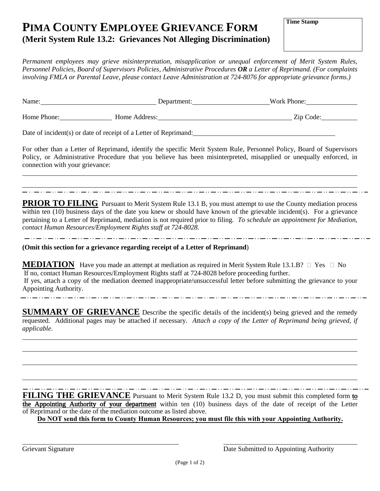# **PIMA COUNTY EMPLOYEE GRIEVANCE FORM (Merit System Rule 13.2: Grievances Not Alleging Discrimination)**

*Permanent employees may grieve misinterpretation, misapplication or unequal enforcement of Merit System Rules, Personnel Policies, Board of Supervisors Policies, Administrative Procedures OR a Letter of Reprimand. (For complaints involving FMLA or Parental Leave, please contact Leave Administration at 724-8076 for appropriate grievance forms.)*

| Name:       | Department:   | Work Phone: |
|-------------|---------------|-------------|
| Home Phone: | Home Address: | Zip Code:   |
|             |               |             |

Date of incident(s) or date of receipt of a Letter of Reprimand:

For other than a Letter of Reprimand, identify the specific Merit System Rule, Personnel Policy, Board of Supervisors Policy, or Administrative Procedure that you believe has been misinterpreted, misapplied or unequally enforced, in connection with your grievance:

**PRIOR TO FILING** Pursuant to Merit System Rule 13.1 B, you must attempt to use the County mediation process within ten (10) business days of the date you knew or should have known of the grievable incident(s). For a grievance pertaining to a Letter of Reprimand, mediation is not required prior to filing. *To schedule an appointment for Mediation, contact Human Resources/Employment Rights staff at 724-8028.*

**(Omit this section for a grievance regarding receipt of a Letter of Reprimand**)

**MEDIATION** Have you made an attempt at mediation as required in Merit System Rule 13.1.B?  $\Box$  Yes  $\Box$  No If no, contact Human Resources/Employment Rights staff at 724-8028 before proceeding further. If yes, attach a copy of the mediation deemed inappropriate/unsuccessful letter before submitting the grievance to your Appointing Authority. 

**SUMMARY OF GRIEVANCE** Describe the specific details of the incident(s) being grieved and the remedy requested. Additional pages may be attached if necessary. *Attach a copy of the Letter of Reprimand being grieved, if applicable*.

**FILING THE GRIEVANCE** Pursuant to Merit System Rule 13.2 D, you must submit this completed form to the Appointing Authority of your department within ten (10) business days of the date of receipt of the Letter of Reprimand or the date of the mediation outcome as listed above.

**Do NOT send this form to County Human Resources; you must file this with your Appointing Authority.**